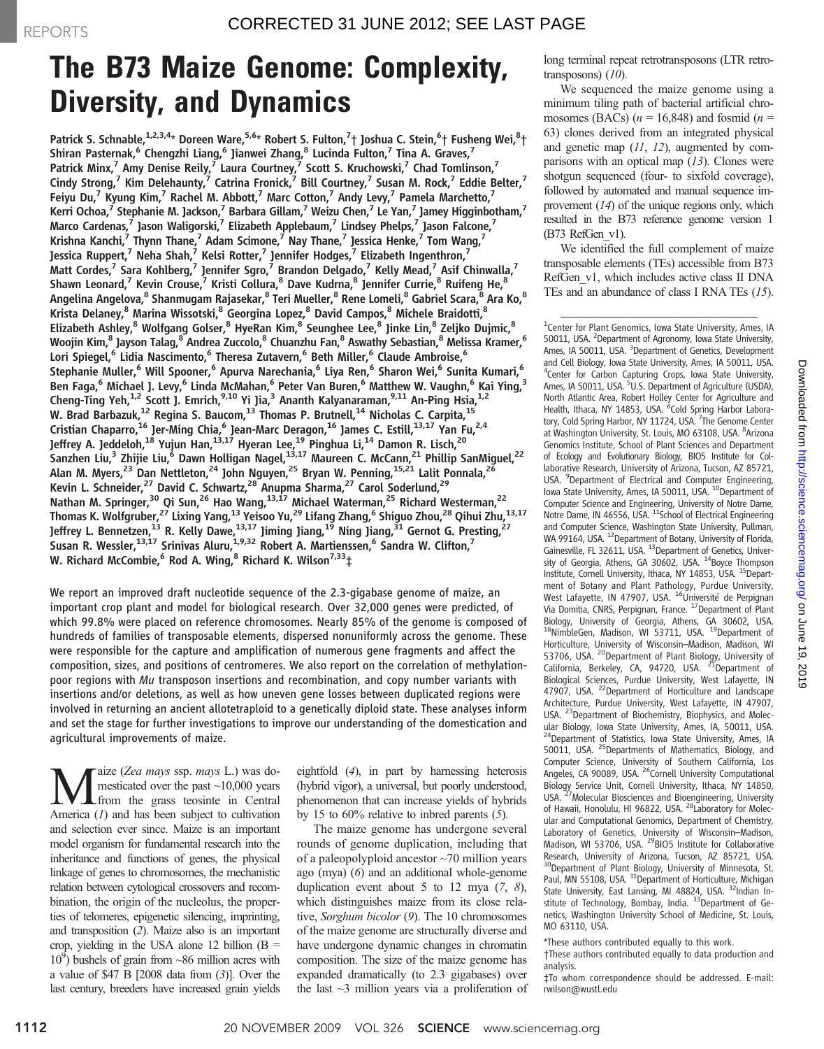## The B73 Maize Genome: Complexity, Diversity, and Dynamics

Patrick S. Schnable, $^{1,2,3,4_\star}$  Doreen Ware, $^{5,6_\star}$  Robert S. Fulton, $^7\dag$  Joshua C. Stein, $^6\dag$  Fusheng Wei, $^8\dag$ Shiran Pasternak,<sup>6</sup> Chengzhi Liang,<sup>6</sup> Jianwei Zhang,<sup>8</sup> Lucinda Fulton,<sup>7</sup> Tina A. Graves,<sup>7</sup> Patrick Minx,<sup>7</sup> Amy Denise Reily,<sup>7</sup> Laura Courtney,<sup>7</sup> Scott S. Kruchowski,<sup>7</sup> Chad Tomlinson,<sup>7</sup> Cindy Strong,<sup>7</sup> Kim Delehaunty,<sup>7</sup> Catrina Fronick,<sup>7</sup> Bill Courtney,<sup>7</sup> Susan M. Rock,<sup>7</sup> Eddie Belter,<sup>7</sup> Feiyu Du,<sup>7</sup> Kyung Kim,<sup>7</sup> Rachel M. Abbott,<sup>7</sup> Marc Cotton,<sup>7</sup> Andy Levy,<sup>7</sup> Pamela Marchetto,<sup>7</sup> Kerri Ochoa, $^7$  Stephanie M. Jackson, $^7$  Barbara Gillam, $^7$  Weizu Chen, $^7$  Le Yan, $^7$  Jamey Higginbotham, $^7$ Marco Cardenas,<sup>7</sup> Jason Waligorski,<sup>7</sup> Elizabeth Applebaum,<sup>7</sup> Lindsey Phelps,<sup>7</sup> Jason Falcone,<sup>7</sup> Krishna Kanchi,<sup>7</sup> Thynn Thane,<sup>7</sup> Adam Scimone,<sup>7</sup> Nay Thane,<sup>7</sup> Jessica Henke,<sup>7</sup> Tom Wang,<sup>7</sup> Jessica Ruppert,<sup>7</sup> Neha Shah,<sup>7</sup> Kelsi Rotter,<sup>7</sup> Jennifer Hodges,<sup>7</sup> Elizabeth Ingenthron,<sup>7</sup> Matt Cordes,<sup>7</sup> Sara Kohlberg,<sup>7</sup> Jennifer Sgro,<sup>7</sup> Brandon Delgado,<sup>7</sup> Kelly Mead,<sup>7</sup> Asif Chinwalla,<sup>7</sup> Shawn Leonard,<sup>7</sup> Kevin Crouse,<sup>7</sup> Kristi Collura,<sup>8</sup> Dave Kudrna,<sup>8</sup> Jennifer Currie,<sup>8</sup> Ruifeng He,<sup>8</sup> Angelina Angelova, <sup>8</sup> Shanmugam Rajasekar, <sup>8</sup> Teri Mueller, <sup>8</sup> Rene Lomeli, <sup>8</sup> Gabriel Scara, <sup>8</sup> Ara Ko, <sup>8</sup> Krista Delaney, $^8$  Marina Wissotski, $^8$  Georgina Lopez, $^8$  David Campos, $^8$  Michele Braidotti, $^8$ Elizabeth Ashley,<sup>8</sup> Wolfgang Golser,<sup>8</sup> HyeRan Kim,<sup>8</sup> Seunghee Lee,<sup>8</sup> Jinke Lin,<sup>8</sup> Zeljko Dujmic,<sup>8</sup> Woojin Kim,<sup>8</sup> Jayson Talag,<sup>8</sup> Andrea Zuccolo,<sup>8</sup> Chuanzhu Fan,<sup>8</sup> Aswathy Sebastian,<sup>8</sup> Melissa Kramer,<sup>6</sup> Lori Spiegel,<sup>6</sup> Lidia Nascimento,<sup>6</sup> Theresa Zutavern,<sup>6</sup> Beth Miller,<sup>6</sup> Claude Ambroise,<sup>6</sup> Stephanie Muller,<sup>6</sup> Will Spooner,<sup>6</sup> Apurva Narechania,<sup>6</sup> Liya Ren,<sup>6</sup> Sharon Wei,<sup>6</sup> Sunita Kumari,<sup>6</sup> Ben Faga,<sup>6</sup> Michael J. Levy,<sup>6</sup> Linda McMahan,<sup>6</sup> Peter Van Buren,<sup>6</sup> Matthew W. Vaughn,<sup>6</sup> Kai Ying,<sup>3</sup> Cheng-Ting Yeh,<sup>1,2</sup> Scott J. Emrich,<sup>9,10</sup> Yi Jia,<sup>3</sup> Ananth Kalyanaraman,<sup>9,11</sup> An-Ping Hsia,<sup>1,2</sup> W. Brad Barbazuk,<sup>12</sup> Regina S. Baucom,<sup>13</sup> Thomas P. Brutnell,<sup>14</sup> Nicholas C. Carpita,<sup>15</sup> Cristian Chaparro,  $^{16}$  Jer-Ming Chia,  $^6$  Jean-Marc Deragon,  $^{16}$  James C. Estill,  $^{13,17}$  Yan Fu,  $^{2,4}$ Jeffrey A. Jeddeloh,<sup>18</sup> Yujun Han,<sup>13,17</sup> Hyeran Lee,<sup>19</sup> Pinghua Li,<sup>14</sup> Damon R. Lisch,<sup>20</sup> .<br>Sanzhen Liu,<sup>3</sup> Zhijie Liu,<sup>6</sup> Dawn Holligan Nagel,<sup>13,17</sup> Maureen C. McCann,<sup>21</sup> Phillip SanMiguel,<sup>22</sup> Alan M. Myers,<sup>23</sup> Dan Nettleton,<sup>24</sup> John Nguyen,<sup>25</sup> Bryan W. Penning,<sup>15,21</sup> Lalit Ponnala,<sup>26</sup> Kevin L. Schneider,<sup>27</sup> David C. Schwartz,<sup>28</sup> Anupma Sharma,<sup>27</sup> Carol Soderlund,<sup>29</sup> Nathan M. Springer,<sup>30</sup> Qi Sun,<sup>26</sup> Hao Wang,<sup>13,17</sup> Michael Waterman,<sup>25</sup> Richard Westerman,<sup>22</sup> Thomas K. Wolfgruber,<sup>27</sup> Lixing Yang,<sup>13</sup> Yeisoo Yu,<sup>29</sup> Lifang Zhang,<sup>6</sup> Shiguo Zhou,<sup>28</sup> Qihui Zhu,<sup>13,17</sup> Jeffrey L. Bennetzen,<sup>13</sup> R. Kelly Dawe,<sup>13,17</sup> Jiming Jiang,<sup>19</sup> Ning Jiang,<sup>31</sup> Gernot G. Presting,<sup>27</sup> Susan R. Wessler, $^{13,17}$  Srinivas Aluru, $^{1,9,32}$  Robert A. Martienssen, $^6$  Sandra W. Clifton, $^7$ W. Richard McCombie,<sup>6</sup> Rod A. Wing,<sup>8</sup> Richard K. Wilson<sup>7,33</sup>‡

We report an improved draft nucleotide sequence of the 2.3-gigabase genome of maize, an important crop plant and model for biological research. Over 32,000 genes were predicted, of which 99.8% were placed on reference chromosomes. Nearly 85% of the genome is composed of hundreds of families of transposable elements, dispersed nonuniformly across the genome. These were responsible for the capture and amplification of numerous gene fragments and affect the composition, sizes, and positions of centromeres. We also report on the correlation of methylationpoor regions with Mu transposon insertions and recombination, and copy number variants with insertions and/or deletions, as well as how uneven gene losses between duplicated regions were involved in returning an ancient allotetraploid to a genetically diploid state. These analyses inform and set the stage for further investigations to improve our understanding of the domestication and agricultural improvements of maize.

Maize (Zea mays ssp. mays L.) was do-<br>from the grass teosinte in Central<br>America (1) and has been subject to cultivation mesticated over the past ~10,000 years America  $(I)$  and has been subject to cultivation and selection ever since. Maize is an important model organism for fundamental research into the inheritance and functions of genes, the physical linkage of genes to chromosomes, the mechanistic relation between cytological crossovers and recombination, the origin of the nucleolus, the properties of telomeres, epigenetic silencing, imprinting, and transposition (2). Maize also is an important crop, yielding in the USA alone 12 billion  $(B =$  $10<sup>9</sup>$ ) bushels of grain from ~86 million acres with a value of \$47 B [2008 data from (3)]. Over the last century, breeders have increased grain yields

eightfold (4), in part by harnessing heterosis (hybrid vigor), a universal, but poorly understood, phenomenon that can increase yields of hybrids by 15 to 60% relative to inbred parents (5).

The maize genome has undergone several rounds of genome duplication, including that of a paleopolyploid ancestor ~70 million years ago (mya) (6) and an additional whole-genome duplication event about 5 to 12 mya  $(7, 8)$ , which distinguishes maize from its close relative, Sorghum bicolor (9). The 10 chromosomes of the maize genome are structurally diverse and have undergone dynamic changes in chromatin composition. The size of the maize genome has expanded dramatically (to 2.3 gigabases) over the last  $\sim$ 3 million years via a proliferation of long terminal repeat retrotransposons (LTR retrotransposons)  $(10)$ .

We sequenced the maize genome using a minimum tiling path of bacterial artificial chromosomes (BACs) ( $n = 16,848$ ) and fosmid ( $n =$ 63) clones derived from an integrated physical and genetic map  $(11, 12)$ , augmented by comparisons with an optical map  $(13)$ . Clones were shotgun sequenced (four- to sixfold coverage), followed by automated and manual sequence improvement (14) of the unique regions only, which resulted in the B73 reference genome version 1 (B73 RefGen\_v1).

We identified the full complement of maize transposable elements (TEs) accessible from B73 RefGen\_v1, which includes active class II DNA TEs and an abundance of class I RNA TEs (15).

\*These authors contributed equally to this work.

‡To whom correspondence should be addressed. E-mail: rwilson@wustl.edu

<sup>&</sup>lt;sup>1</sup> Center for Plant Genomics, Iowa State University, Ames, IA 50011, USA. <sup>2</sup>Department of Agronomy, Iowa State University, Ames, IA 50011, USA. <sup>3</sup>Department of Genetics, Development and Cell Biology, Iowa State University, Ames, IA 50011, USA. 4 Center for Carbon Capturing Crops, Iowa State University, Ames, IA 50011, USA. <sup>5</sup>U.S. Department of Agriculture (USDA), North Atlantic Area, Robert Holley Center for Agriculture and<br>Health, Ithaca, NY 14853, USA. <sup>6</sup>Cold Spring Harbor Laboratory, Cold Spring Harbor, NY 11724, USA. <sup>7</sup>The Genome Center at Washington University, St. Louis, MO 63108, USA. <sup>8</sup>Arizona Genomics Institute, School of Plant Sciences and Department of Ecology and Evolutionary Biology, BIO5 Institute for Collaborative Research, University of Arizona, Tucson, AZ 85721, USA. <sup>9</sup>Department of Electrical and Computer Engineering, lowa State University, Ames, IA 50011, USA. <sup>10</sup>Department of Computer Science and Engineering, University of Notre Dame, Notre Dame, IN 46556, USA. <sup>11</sup>School of Electrical Engineering and Computer Science, Washington State University, Pullman, WA 99164, USA. <sup>12</sup>Department of Botany, University of Florida, Gainesville, FL 32611, USA. <sup>13</sup>Department of Genetics, University of Georgia, Athens, GA 30602, USA. <sup>14</sup>Boyce Thompson Institute, Cornell University, Ithaca, NY 14853, USA. <sup>15</sup>Department of Botany and Plant Pathology, Purdue University, West Lafayette, IN 47907, USA. <sup>16</sup>Université de Perpignan Via Domitia, CNRS, Perpignan, France. <sup>17</sup> Department of Plant Biology, University of Georgia, Athens, GA 30602, USA. 18NimbleGen, Madison, WI 53711, USA. <sup>19</sup>Department of Horticulture, University of Wisconsin–Madison, Madison, WI 53706, USA. <sup>20</sup>Department of Plant Biology, University of California, Berkeley, CA, 94720, USA. <sup>21</sup>Department of Biological Sciences, Purdue University, West Lafayette, IN 47907, USA. <sup>22</sup>Department of Horticulture and Landscape Architecture, Purdue University, West Lafayette, IN 47907, USA. <sup>23</sup>Department of Biochemistry, Biophysics, and Molecular Biology, Iowa State University, Ames, IA, 50011, USA. <sup>24</sup>Department of Statistics, Iowa State University, Ames, IA 50011, USA. <sup>25</sup>Departments of Mathematics, Biology, and Computer Science, University of Southern California, Los Angeles, CA 90089, USA. <sup>26</sup>Cornell University Computational Biology Service Unit, Cornell University, Ithaca, NY 14850, USA. <sup>27</sup>Molecular Biosciences and Bioengineering, University of Hawaii, Honolulu, HI 96822, USA. <sup>28</sup>Laboratory for Molecular and Computational Genomics, Department of Chemistry, Laboratory of Genetics, University of Wisconsin–Madison, Madison, WI 53706, USA. <sup>29</sup>BIO5 Institute for Collaborative Research, University of Arizona, Tucson, AZ 85721, USA. <sup>30</sup>Department of Plant Biology, University of Minnesota, St. Paul, MN 55108, USA. <sup>31</sup>Department of Horticulture, Michigan State University, East Lansing, MI 48824, USA. <sup>32</sup>Indian Institute of Technology, Bombay, India. <sup>33</sup>Department of Genetics, Washington University School of Medicine, St. Louis, MO 63110, USA.

<sup>†</sup>These authors contributed equally to data production and analysis.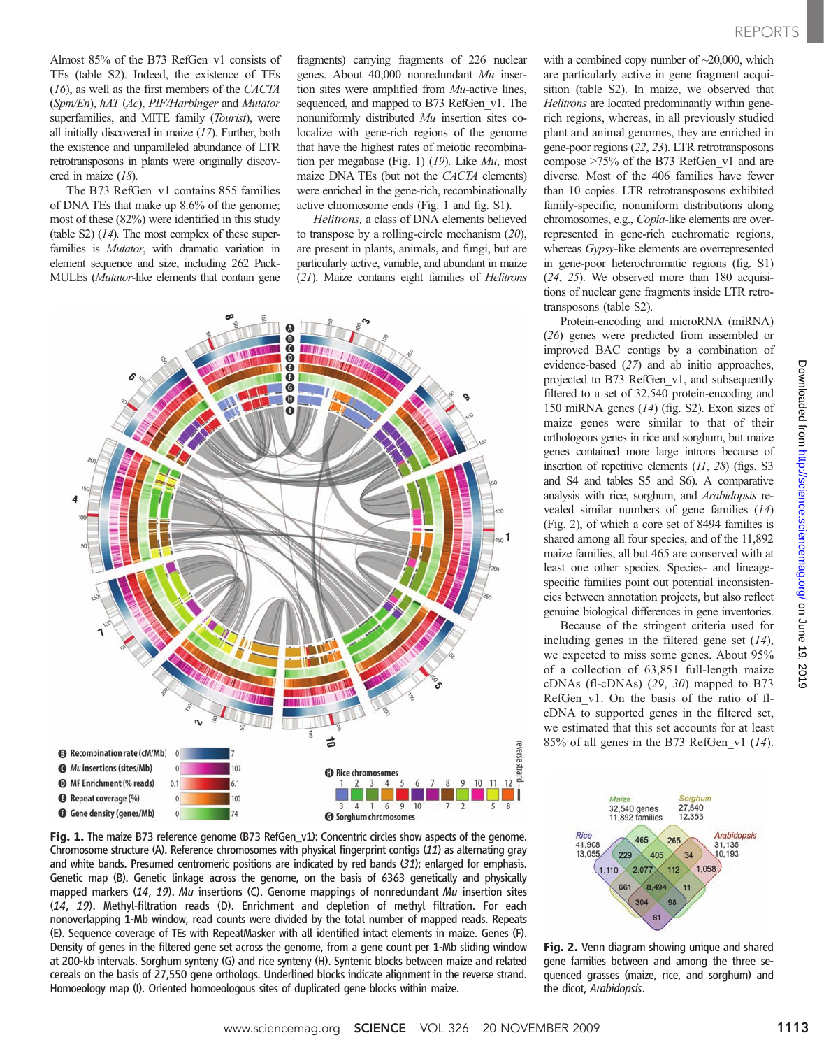Almost 85% of the B73 RefGen\_v1 consists of TEs (table S2). Indeed, the existence of TEs (16), as well as the first members of the CACTA (Spm/En), hAT (Ac), PIF/Harbinger and Mutator superfamilies, and MITE family (Tourist), were all initially discovered in maize (17). Further, both the existence and unparalleled abundance of LTR retrotransposons in plants were originally discovered in maize (18).

The B73 RefGen\_v1 contains 855 families of DNA TEs that make up 8.6% of the genome; most of these (82%) were identified in this study (table S2) (14). The most complex of these superfamilies is Mutator, with dramatic variation in element sequence and size, including 262 Pack-MULEs (Mutator-like elements that contain gene fragments) carrying fragments of 226 nuclear genes. About 40,000 nonredundant Mu insertion sites were amplified from Mu-active lines, sequenced, and mapped to B73 RefGen v1. The nonuniformly distributed Mu insertion sites colocalize with gene-rich regions of the genome that have the highest rates of meiotic recombination per megabase (Fig. 1) (19). Like Mu, most maize DNA TEs (but not the CACTA elements) were enriched in the gene-rich, recombinationally active chromosome ends (Fig. 1 and fig. S1).

Helitrons, a class of DNA elements believed to transpose by a rolling-circle mechanism (20), are present in plants, animals, and fungi, but are particularly active, variable, and abundant in maize (21). Maize contains eight families of Helitrons



Fig. 1. The maize B73 reference genome (B73 RefGen\_v1): Concentric circles show aspects of the genome. Chromosome structure (A). Reference chromosomes with physical fingerprint contigs (11) as alternating gray and white bands. Presumed centromeric positions are indicated by red bands  $(31)$ ; enlarged for emphasis. Genetic map (B). Genetic linkage across the genome, on the basis of 6363 genetically and physically mapped markers  $(14, 19)$ . Mu insertions (C). Genome mappings of nonredundant Mu insertion sites (14, 19). Methyl-filtration reads (D). Enrichment and depletion of methyl filtration. For each nonoverlapping 1-Mb window, read counts were divided by the total number of mapped reads. Repeats (E). Sequence coverage of TEs with RepeatMasker with all identified intact elements in maize. Genes (F). Density of genes in the filtered gene set across the genome, from a gene count per 1-Mb sliding window at 200-kb intervals. Sorghum synteny (G) and rice synteny (H). Syntenic blocks between maize and related cereals on the basis of 27,550 gene orthologs. Underlined blocks indicate alignment in the reverse strand. Homoeology map (I). Oriented homoeologous sites of duplicated gene blocks within maize.

with a combined copy number of  $\sim$ 20,000, which are particularly active in gene fragment acquisition (table S2). In maize, we observed that Helitrons are located predominantly within generich regions, whereas, in all previously studied plant and animal genomes, they are enriched in gene-poor regions (22, 23). LTR retrotransposons compose >75% of the B73 RefGen\_v1 and are diverse. Most of the 406 families have fewer than 10 copies. LTR retrotransposons exhibited family-specific, nonuniform distributions along chromosomes, e.g., Copia-like elements are overrepresented in gene-rich euchromatic regions, whereas Gypsy-like elements are overrepresented in gene-poor heterochromatic regions (fig. S1) (24, 25). We observed more than 180 acquisitions of nuclear gene fragments inside LTR retrotransposons (table S2).

Protein-encoding and microRNA (miRNA) (26) genes were predicted from assembled or improved BAC contigs by a combination of evidence-based (27) and ab initio approaches, projected to B73 RefGen\_v1, and subsequently filtered to a set of 32,540 protein-encoding and 150 miRNA genes (14) (fig. S2). Exon sizes of maize genes were similar to that of their orthologous genes in rice and sorghum, but maize genes contained more large introns because of insertion of repetitive elements (11, 28) (figs. S3 and S4 and tables S5 and S6). A comparative analysis with rice, sorghum, and Arabidopsis revealed similar numbers of gene families (14) (Fig. 2), of which a core set of 8494 families is shared among all four species, and of the 11,892 maize families, all but 465 are conserved with at least one other species. Species- and lineagespecific families point out potential inconsistencies between annotation projects, but also reflect genuine biological differences in gene inventories.

Because of the stringent criteria used for including genes in the filtered gene set  $(14)$ , we expected to miss some genes. About 95% of a collection of 63,851 full-length maize cDNAs (fl-cDNAs) (29, 30) mapped to B73 RefGen\_v1. On the basis of the ratio of flcDNA to supported genes in the filtered set, we estimated that this set accounts for at least 85% of all genes in the B73 RefGen\_v1 (14).



Fig. 2. Venn diagram showing unique and shared gene families between and among the three sequenced grasses (maize, rice, and sorghum) and the dicot, Arabidopsis.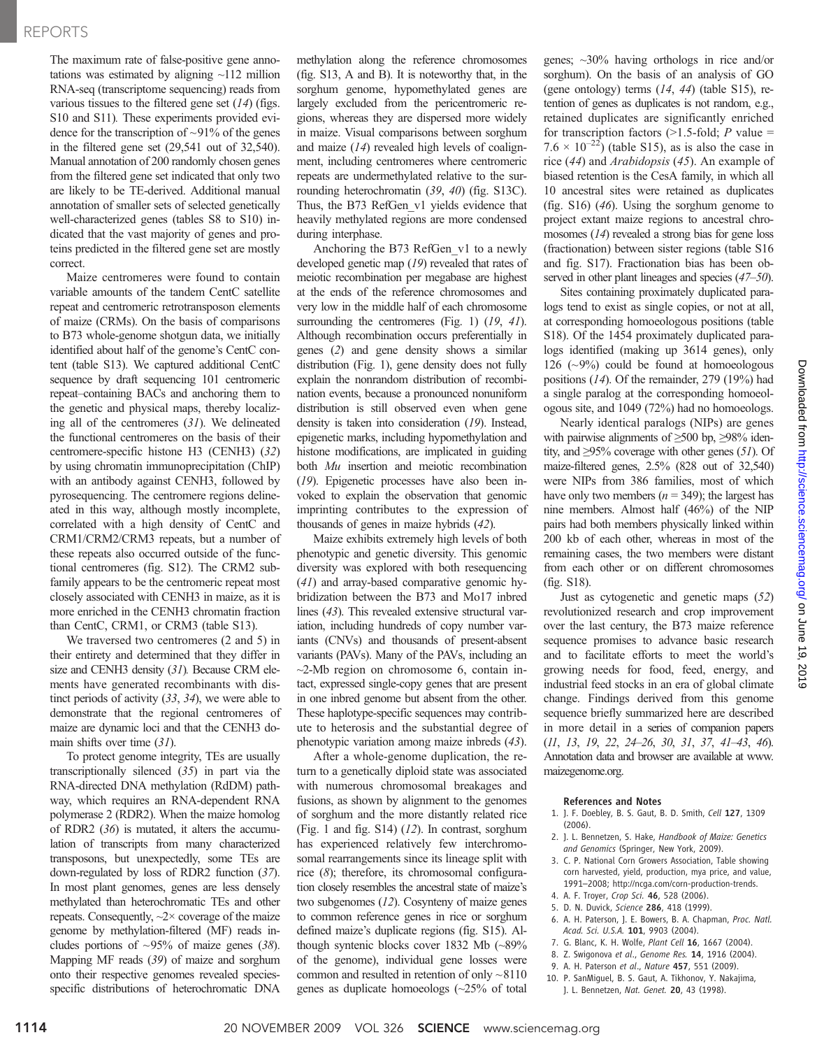## REPORTS

The maximum rate of false-positive gene annotations was estimated by aligning  $\sim$ 112 million RNA-seq (transcriptome sequencing) reads from various tissues to the filtered gene set  $(14)$  (figs. S10 and S11). These experiments provided evidence for the transcription of  $\sim$ 91% of the genes in the filtered gene set (29,541 out of 32,540). Manual annotation of 200 randomly chosen genes from the filtered gene set indicated that only two are likely to be TE-derived. Additional manual annotation of smaller sets of selected genetically well-characterized genes (tables S8 to S10) indicated that the vast majority of genes and proteins predicted in the filtered gene set are mostly correct.

Maize centromeres were found to contain variable amounts of the tandem CentC satellite repeat and centromeric retrotransposon elements of maize (CRMs). On the basis of comparisons to B73 whole-genome shotgun data, we initially identified about half of the genome's CentC content (table S13). We captured additional CentC sequence by draft sequencing 101 centromeric repeat–containing BACs and anchoring them to the genetic and physical maps, thereby localizing all of the centromeres (31). We delineated the functional centromeres on the basis of their centromere-specific histone H3 (CENH3) (32) by using chromatin immunoprecipitation (ChIP) with an antibody against CENH3, followed by pyrosequencing. The centromere regions delineated in this way, although mostly incomplete, correlated with a high density of CentC and CRM1/CRM2/CRM3 repeats, but a number of these repeats also occurred outside of the functional centromeres (fig. S12). The CRM2 subfamily appears to be the centromeric repeat most closely associated with CENH3 in maize, as it is more enriched in the CENH3 chromatin fraction than CentC, CRM1, or CRM3 (table S13).

We traversed two centromeres (2 and 5) in their entirety and determined that they differ in size and CENH3 density (31). Because CRM elements have generated recombinants with distinct periods of activity (33, 34), we were able to demonstrate that the regional centromeres of maize are dynamic loci and that the CENH3 domain shifts over time (31).

To protect genome integrity, TEs are usually transcriptionally silenced (35) in part via the RNA-directed DNA methylation (RdDM) pathway, which requires an RNA-dependent RNA polymerase 2 (RDR2). When the maize homolog of RDR2 (36) is mutated, it alters the accumulation of transcripts from many characterized transposons, but unexpectedly, some TEs are down-regulated by loss of RDR2 function (37). In most plant genomes, genes are less densely methylated than heterochromatic TEs and other repeats. Consequently,  $\sim$ 2× coverage of the maize genome by methylation-filtered (MF) reads includes portions of  $\sim 95\%$  of maize genes (38). Mapping MF reads (39) of maize and sorghum onto their respective genomes revealed speciesspecific distributions of heterochromatic DNA

methylation along the reference chromosomes (fig. S13, A and B). It is noteworthy that, in the sorghum genome, hypomethylated genes are largely excluded from the pericentromeric regions, whereas they are dispersed more widely in maize. Visual comparisons between sorghum and maize (14) revealed high levels of coalignment, including centromeres where centromeric repeats are undermethylated relative to the surrounding heterochromatin (39, 40) (fig. S13C). Thus, the B73 RefGen\_v1 yields evidence that heavily methylated regions are more condensed during interphase.

Anchoring the B73 RefGen\_v1 to a newly developed genetic map (19) revealed that rates of meiotic recombination per megabase are highest at the ends of the reference chromosomes and very low in the middle half of each chromosome surrounding the centromeres (Fig. 1) (19, 41). Although recombination occurs preferentially in genes (2) and gene density shows a similar distribution (Fig. 1), gene density does not fully explain the nonrandom distribution of recombination events, because a pronounced nonuniform distribution is still observed even when gene density is taken into consideration (19). Instead, epigenetic marks, including hypomethylation and histone modifications, are implicated in guiding both Mu insertion and meiotic recombination (19). Epigenetic processes have also been invoked to explain the observation that genomic imprinting contributes to the expression of thousands of genes in maize hybrids (42).

Maize exhibits extremely high levels of both phenotypic and genetic diversity. This genomic diversity was explored with both resequencing (41) and array-based comparative genomic hybridization between the B73 and Mo17 inbred lines (43). This revealed extensive structural variation, including hundreds of copy number variants (CNVs) and thousands of present-absent variants (PAVs). Many of the PAVs, including an  $\sim$ 2-Mb region on chromosome 6, contain intact, expressed single-copy genes that are present in one inbred genome but absent from the other. These haplotype-specific sequences may contribute to heterosis and the substantial degree of phenotypic variation among maize inbreds (43).

After a whole-genome duplication, the return to a genetically diploid state was associated with numerous chromosomal breakages and fusions, as shown by alignment to the genomes of sorghum and the more distantly related rice (Fig. 1 and fig. S14) (12). In contrast, sorghum has experienced relatively few interchromosomal rearrangements since its lineage split with rice (8); therefore, its chromosomal configuration closely resembles the ancestral state of maize's two subgenomes (12). Cosynteny of maize genes to common reference genes in rice or sorghum defined maize's duplicate regions (fig. S15). Although syntenic blocks cover 1832 Mb (~89% of the genome), individual gene losses were common and resulted in retention of only ~8110 genes as duplicate homoeologs (~25% of total

genes; ~30% having orthologs in rice and/or sorghum). On the basis of an analysis of GO (gene ontology) terms (14, 44) (table S15), retention of genes as duplicates is not random, e.g., retained duplicates are significantly enriched for transcription factors  $(>1.5\text{-fold}; P \text{ value} =$  $7.6 \times 10^{-22}$ ) (table S15), as is also the case in rice (44) and Arabidopsis (45). An example of biased retention is the CesA family, in which all 10 ancestral sites were retained as duplicates (fig. S16) (46). Using the sorghum genome to project extant maize regions to ancestral chromosomes (14) revealed a strong bias for gene loss (fractionation) between sister regions (table S16 and fig. S17). Fractionation bias has been observed in other plant lineages and species (47–50).

Sites containing proximately duplicated paralogs tend to exist as single copies, or not at all, at corresponding homoeologous positions (table S18). Of the 1454 proximately duplicated paralogs identified (making up 3614 genes), only 126 ( $\sim$ 9%) could be found at homoeologous positions (14). Of the remainder, 279 (19%) had a single paralog at the corresponding homoeologous site, and 1049 (72%) had no homoeologs.

Nearly identical paralogs (NIPs) are genes with pairwise alignments of ≥500 bp, ≥98% identity, and  $\geq$ 95% coverage with other genes (51). Of maize-filtered genes, 2.5% (828 out of 32,540) were NIPs from 386 families, most of which have only two members ( $n = 349$ ); the largest has nine members. Almost half (46%) of the NIP pairs had both members physically linked within 200 kb of each other, whereas in most of the remaining cases, the two members were distant from each other or on different chromosomes (fig. S18).

Just as cytogenetic and genetic maps (52) revolutionized research and crop improvement over the last century, the B73 maize reference sequence promises to advance basic research and to facilitate efforts to meet the world's growing needs for food, feed, energy, and industrial feed stocks in an era of global climate change. Findings derived from this genome sequence briefly summarized here are described in more detail in a series of companion papers (11, 13, 19, 22, 24–26, 30, 31, 37, 41–43, 46). Annotation data and browser are available at www. maizegenome.org.

#### References and Notes

- 1. J. F. Doebley, B. S. Gaut, B. D. Smith, Cell 127, 1309 (2006).
- 2. J. L. Bennetzen, S. Hake, Handbook of Maize: Genetics and Genomics (Springer, New York, 2009).
- 3. C. P. National Corn Growers Association, Table showing corn harvested, yield, production, mya price, and value, 1991–2008; http://ncga.com/corn-production-trends.
- 4. A. F. Troyer, Crop Sci. 46, 528 (2006).
- 5. D. N. Duvick, Science 286, 418 (1999).
- 6. A. H. Paterson, J. E. Bowers, B. A. Chapman, Proc. Natl. Acad. Sci. U.S.A. 101, 9903 (2004).
- 7. G. Blanc, K. H. Wolfe, Plant Cell 16, 1667 (2004).
- 8. Z. Swigonova et al., Genome Res. 14, 1916 (2004).
- 9. A. H. Paterson et al., Nature 457, 551 (2009).
- 10. P. SanMiguel, B. S. Gaut, A. Tikhonov, Y. Nakajima,
	- J. L. Bennetzen, Nat. Genet. 20, 43 (1998).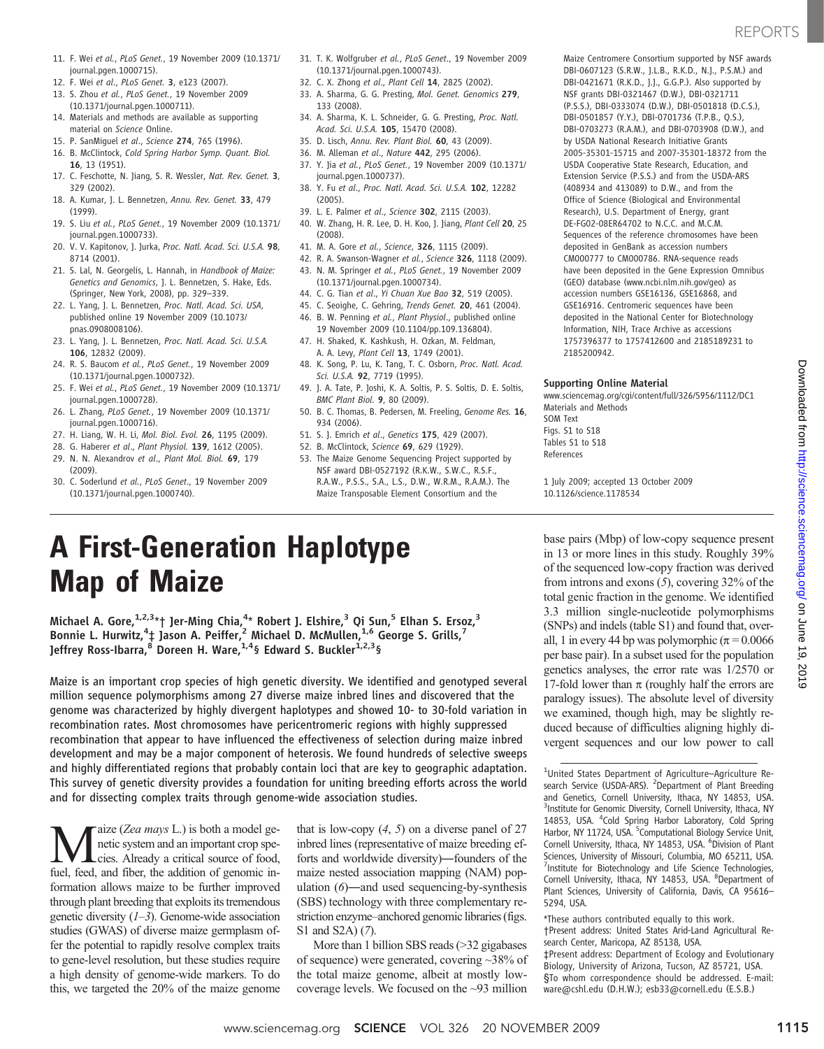- 11. F. Wei et al., PLoS Genet., 19 November 2009 (10.1371/ journal.pgen.1000715).
- 12. F. Wei et al., PLoS Genet. 3, e123 (2007).
- 13. S. Zhou et al., PLoS Genet., 19 November 2009 (10.1371/journal.pgen.1000711).
- 14. Materials and methods are available as supporting material on Science Online.
- 15. P. SanMiguel et al., Science 274, 765 (1996).
- 16. B. McClintock, Cold Spring Harbor Symp. Quant. Biol. 16, 13 (1951).
- 17. C. Feschotte, N. Jiang, S. R. Wessler, Nat. Rev. Genet. 3, 329 (2002).
- 18. A. Kumar, J. L. Bennetzen, Annu. Rev. Genet. 33, 479 (1999).
- 19. S. Liu et al., PLoS Genet., 19 November 2009 (10.1371/ journal.pgen.1000733).
- 20. V. V. Kapitonov, J. Jurka, Proc. Natl. Acad. Sci. U.S.A. 98, 8714 (2001).
- 21. S. Lal, N. Georgelis, L. Hannah, in Handbook of Maize: Genetics and Genomics, J. L. Bennetzen, S. Hake, Eds. (Springer, New York, 2008), pp. 329–339.
- 22. L. Yang, J. L. Bennetzen, Proc. Natl. Acad. Sci. USA, published online 19 November 2009 (10.1073/ pnas.0908008106).
- 23. L. Yang, J. L. Bennetzen, Proc. Natl. Acad. Sci. U.S.A. 106, 12832 (2009).
- 24. R. S. Baucom et al., PLoS Genet., 19 November 2009 (10.1371/journal.pgen.1000732).
- 25. F. Wei et al., PLoS Genet., 19 November 2009 (10.1371/ journal.pgen.1000728).
- 26. L. Zhang, PLoS Genet., 19 November 2009 (10.1371/ journal.pgen.1000716).
- 27. H. Liang, W. H. Li, Mol. Biol. Evol. 26, 1195 (2009).
- 28. G. Haberer et al., Plant Physiol. 139, 1612 (2005).
- 29. N. N. Alexandrov et al., Plant Mol. Biol. 69, 179 (2009).
- 30. C. Soderlund et al., PLoS Genet., 19 November 2009 (10.1371/journal.pgen.1000740).
- 31. T. K. Wolfgruber et al., PLoS Genet., 19 November 2009 (10.1371/journal.pgen.1000743).
- 32. C. X. Zhong et al., Plant Cell 14, 2825 (2002). 33. A. Sharma, G. G. Presting, Mol. Genet. Genomics 279,
- 133 (2008).
- 34. A. Sharma, K. L. Schneider, G. G. Presting, Proc. Natl. Acad. Sci. U.S.A. 105, 15470 (2008).
- 35. D. Lisch, Annu. Rev. Plant Biol. 60, 43 (2009).
- 36. M. Alleman et al., Nature 442, 295 (2006). 37. Y. Jia et al., PLoS Genet., 19 November 2009 (10.1371/ journal.pgen.1000737).
- 38. Y. Fu et al., Proc. Natl. Acad. Sci. U.S.A. 102, 12282 (2005).
- 39. L. E. Palmer et al., Science 302, 2115 (2003).
- 40. W. Zhang, H. R. Lee, D. H. Koo, J. Jiang, Plant Cell 20, 25
- (2008). 41. M. A. Gore et al., Science, 326, 1115 (2009).
- 42. R. A. Swanson-Wagner et al., Science 326, 1118 (2009).
- 43. N. M. Springer et al., PLoS Genet., 19 November 2009
- (10.1371/journal.pgen.1000734). 44. C. G. Tian et al., Yi Chuan Xue Bao 32, 519 (2005).
- 45. C. Seoighe, C. Gehring, Trends Genet. 20, 461 (2004).
- 46. B. W. Penning et al., Plant Physiol., published online
- 19 November 2009 (10.1104/pp.109.136804). 47. H. Shaked, K. Kashkush, H. Ozkan, M. Feldman,
- A. A. Levy, Plant Cell 13, 1749 (2001). 48. K. Song, P. Lu, K. Tang, T. C. Osborn, Proc. Natl. Acad.
- Sci. U.S.A. 92, 7719 (1995).
- 49. J. A. Tate, P. Joshi, K. A. Soltis, P. S. Soltis, D. E. Soltis, BMC Plant Biol. 9, 80 (2009).
- 50. B. C. Thomas, B. Pedersen, M. Freeling, Genome Res. 16, 934 (2006).
- 51. S. J. Emrich et al., Genetics 175, 429 (2007).
- 52. B. McClintock, Science 69, 629 (1929).
- 53. The Maize Genome Sequencing Project supported by NSF award DBI-0527192 (R.K.W., S.W.C., R.S.F., R.A.W., P.S.S., S.A., L.S., D.W., W.R.M., R.A.M.). The Maize Transposable Element Consortium and the

Maize Centromere Consortium supported by NSF awards DBI-0607123 (S.R.W., J.L.B., R.K.D., N.J., P.S.M.) and DBI-0421671 (R.K.D., J.J., G.G.P.). Also supported by NSF grants DBI-0321467 (D.W.), DBI-0321711 (P.S.S.), DBI-0333074 (D.W.), DBI-0501818 (D.C.S.), DBI-0501857 (Y.Y.), DBI-0701736 (T.P.B., Q.S.), DBI-0703273 (R.A.M.), and DBI-0703908 (D.W.), and by USDA National Research Initiative Grants 2005-35301-15715 and 2007-35301-18372 from the USDA Cooperative State Research, Education, and Extension Service (P.S.S.) and from the USDA-ARS (408934 and 413089) to D.W., and from the Office of Science (Biological and Environmental Research), U.S. Department of Energy, grant DE-FG02-08ER64702 to N.C.C. and M.C.M. Sequences of the reference chromosomes have been deposited in GenBank as accession numbers CM000777 to CM000786. RNA-sequence reads have been deposited in the Gene Expression Omnibus (GEO) database (www.ncbi.nlm.nih.gov/geo) as accession numbers GSE16136, GSE16868, and GSE16916. Centromeric sequences have been deposited in the National Center for Biotechnology Information, NIH, Trace Archive as accessions 1757396377 to 1757412600 and 2185189231 to 2185200942.

### Supporting Online Material

www.sciencemag.org/cgi/content/full/326/5956/1112/DC1 Materials and Methods SOM Text Figs. S1 to S18 Tables S1 to S18 References

1 July 2009; accepted 13 October 2009 10.1126/science.1178534

## A First-Generation Haplotype Map of Maize

Michael A. Gore,<sup>1,2,3</sup>\*† Jer-Ming Chia,<sup>4</sup>\* Robert J. Elshire,<sup>3</sup> Qi Sun,<sup>5</sup> Elhan S. Ersoz,<sup>3</sup> Bonnie L. Hurwitz,<sup>4</sup>‡ Jason A. Peiffer,<sup>2</sup> Michael D. McMullen,<sup>1,6</sup> George S. Grills,<sup>7</sup> Jeffrey Ross-Ibarra,<sup>8</sup> Doreen H. Ware,<sup>1,4</sup>§ Edward S. Buckler<sup>1,2,3</sup>§

Maize is an important crop species of high genetic diversity. We identified and genotyped several million sequence polymorphisms among 27 diverse maize inbred lines and discovered that the genome was characterized by highly divergent haplotypes and showed 10- to 30-fold variation in recombination rates. Most chromosomes have pericentromeric regions with highly suppressed recombination that appear to have influenced the effectiveness of selection during maize inbred development and may be a major component of heterosis. We found hundreds of selective sweeps and highly differentiated regions that probably contain loci that are key to geographic adaptation. This survey of genetic diversity provides a foundation for uniting breeding efforts across the world and for dissecting complex traits through genome-wide association studies.

Maize (Zea mays L.) is both a model generation and an important crop species. Already a critical source of food, netic system and an important crop species. Already a critical source of food, fuel, feed, and fiber, the addition of genomic information allows maize to be further improved through plant breeding that exploits its tremendous genetic diversity  $(1-3)$ . Genome-wide association studies (GWAS) of diverse maize germplasm offer the potential to rapidly resolve complex traits to gene-level resolution, but these studies require a high density of genome-wide markers. To do this, we targeted the 20% of the maize genome

that is low-copy  $(4, 5)$  on a diverse panel of 27 inbred lines (representative of maize breeding efforts and worldwide diversity)―founders of the maize nested association mapping (NAM) population  $(6)$ —and used sequencing-by-synthesis (SBS) technology with three complementary restriction enzyme–anchored genomic libraries (figs. S1 and S2A) (7).

More than 1 billion SBS reads (>32 gigabases of sequence) were generated, covering ~38% of the total maize genome, albeit at mostly lowcoverage levels. We focused on the ~93 million base pairs (Mbp) of low-copy sequence present in 13 or more lines in this study. Roughly 39% of the sequenced low-copy fraction was derived from introns and exons (5), covering 32% of the total genic fraction in the genome. We identified 3.3 million single-nucleotide polymorphisms (SNPs) and indels (table S1) and found that, overall, 1 in every 44 bp was polymorphic ( $\pi$  = 0.0066 per base pair). In a subset used for the population genetics analyses, the error rate was 1/2570 or 17-fold lower than  $\pi$  (roughly half the errors are paralogy issues). The absolute level of diversity we examined, though high, may be slightly reduced because of difficulties aligning highly divergent sequences and our low power to call

<sup>&</sup>lt;sup>1</sup>United States Department of Agriculture-Agriculture Research Service (USDA-ARS). <sup>2</sup>Department of Plant Breeding and Genetics, Cornell University, Ithaca, NY 14853, USA. <sup>3</sup>Institute for Genomic Diversity, Cornell University, Ithaca, NY 14853, USA. <sup>4</sup>Cold Spring Harbor Laboratory, Cold Spring Harbor, NY 11724, USA. <sup>5</sup> Computational Biology Service Unit, Cornell University, Ithaca, NY 14853, USA. <sup>6</sup> Division of Plant Sciences, University of Missouri, Columbia, MO 65211, USA. <sup>7</sup>Institute for Biotechnology and Life Science Technologies, Cornell University, Ithaca, NY 14853, USA. <sup>8</sup>Department of Plant Sciences, University of California, Davis, CA 95616– 5294, USA.

<sup>\*</sup>These authors contributed equally to this work.

<sup>†</sup>Present address: United States Arid-Land Agricultural Research Center, Maricopa, AZ 85138, USA.

<sup>‡</sup>Present address: Department of Ecology and Evolutionary Biology, University of Arizona, Tucson, AZ 85721, USA. §To whom correspondence should be addressed. E-mail: ware@cshl.edu (D.H.W.); esb33@cornell.edu (E.S.B.)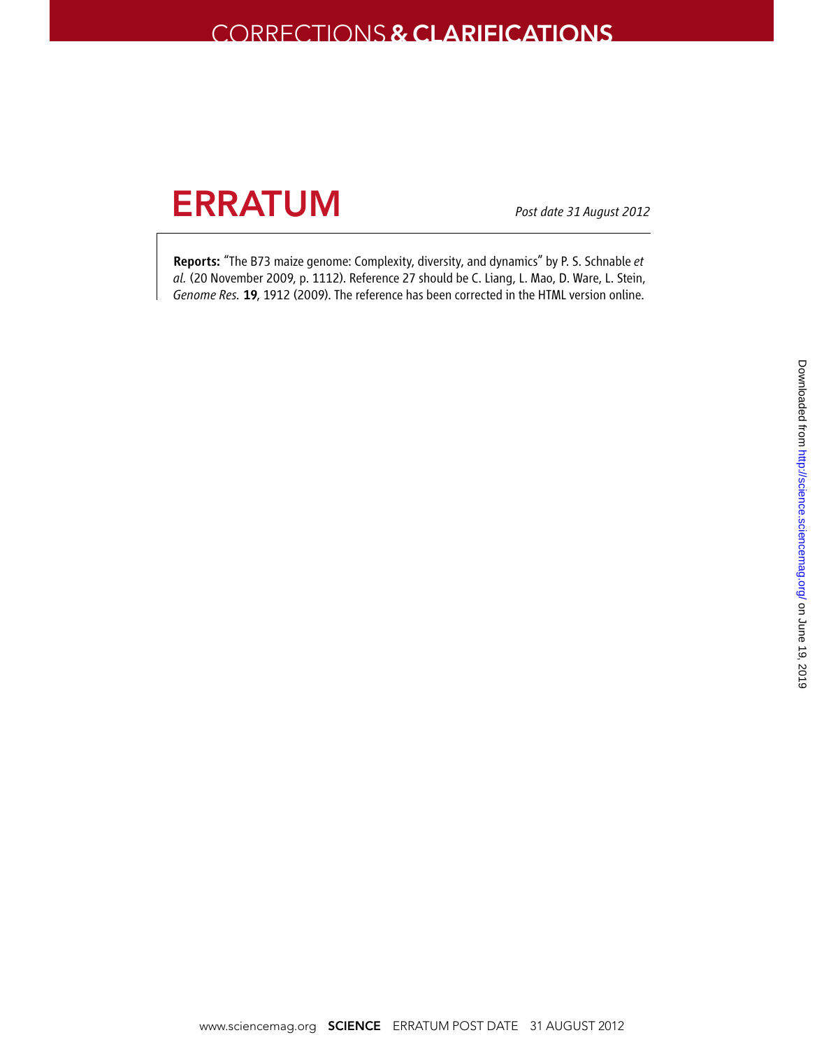## Corrections & CLarifications

# **ERRATUM**

*Post date 31 August 2012*

Reports: "The B73 maize genome: Complexity, diversity, and dynamics" by P. S. Schnable *et al.* (20 November 2009, p. 1112). Reference 27 should be C. Liang, L. Mao, D. Ware, L. Stein, *Genome Res.* 19, 1912 (2009). The reference has been corrected in the HTML version online.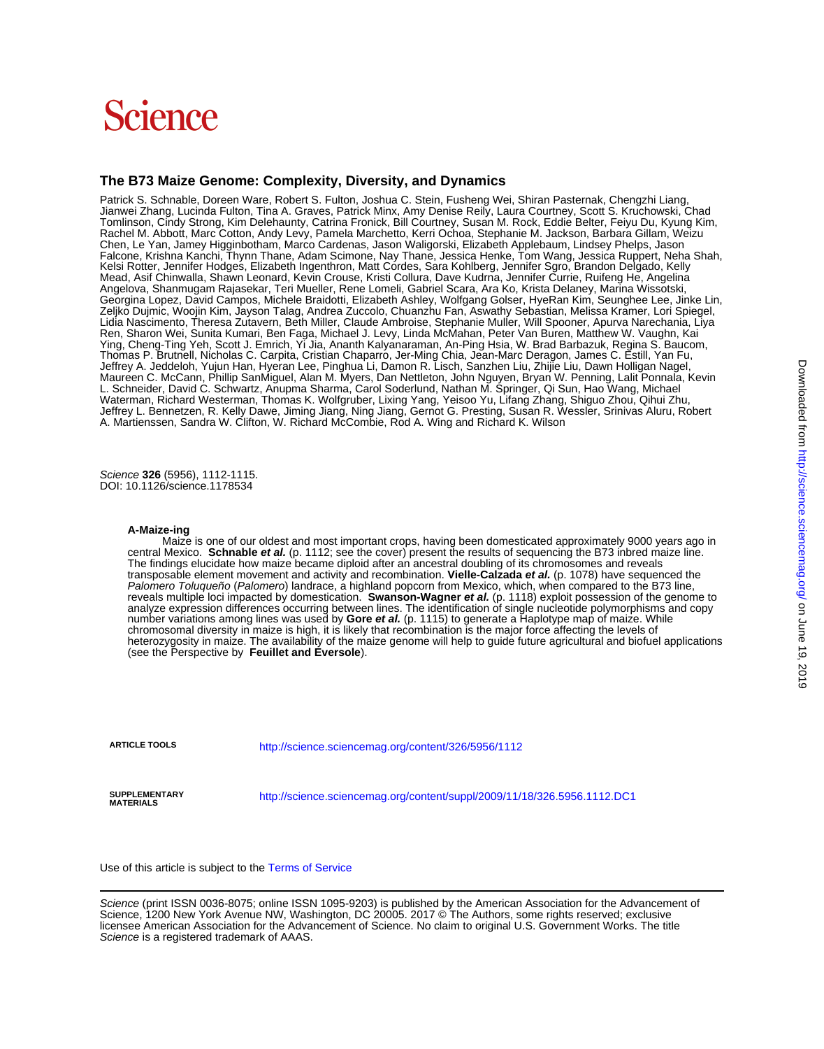# Science

## **The B73 Maize Genome: Complexity, Diversity, and Dynamics**

A. Martienssen, Sandra W. Clifton, W. Richard McCombie, Rod A. Wing and Richard K. Wilson Jeffrey L. Bennetzen, R. Kelly Dawe, Jiming Jiang, Ning Jiang, Gernot G. Presting, Susan R. Wessler, Srinivas Aluru, Robert Waterman, Richard Westerman, Thomas K. Wolfgruber, Lixing Yang, Yeisoo Yu, Lifang Zhang, Shiguo Zhou, Qihui Zhu, L. Schneider, David C. Schwartz, Anupma Sharma, Carol Soderlund, Nathan M. Springer, Qi Sun, Hao Wang, Michael Maureen C. McCann, Phillip SanMiguel, Alan M. Myers, Dan Nettleton, John Nguyen, Bryan W. Penning, Lalit Ponnala, Kevin Jeffrey A. Jeddeloh, Yujun Han, Hyeran Lee, Pinghua Li, Damon R. Lisch, Sanzhen Liu, Zhijie Liu, Dawn Holligan Nagel, Thomas P. Brutnell, Nicholas C. Carpita, Cristian Chaparro, Jer-Ming Chia, Jean-Marc Deragon, James C. Estill, Yan Fu, Ying, Cheng-Ting Yeh, Scott J. Emrich, Yi Jia, Ananth Kalyanaraman, An-Ping Hsia, W. Brad Barbazuk, Regina S. Baucom, Lidia Nascimento, Theresa Zutavern, Beth Miller, Claude Ambroise, Stephanie Muller, Will Spooner, Apurva Narechania, Liya<br>Ren, Sharon Wei, Sunita Kumari, Ben Faga, Michael J. Levy, Linda McMahan, Peter Van Buren, Matthew W Zeljko Dujmic, Woojin Kim, Jayson Talag, Andrea Zuccolo, Chuanzhu Fan, Aswathy Sebastian, Melissa Kramer, Lori Spiegel, Georgina Lopez, David Campos, Michele Braidotti, Elizabeth Ashley, Wolfgang Golser, HyeRan Kim, Seunghee Lee, Jinke Lin, Angelova, Shanmugam Rajasekar, Teri Mueller, Rene Lomeli, Gabriel Scara, Ara Ko, Krista Delaney, Marina Wissotski, Mead, Asif Chinwalla, Shawn Leonard, Kevin Crouse, Kristi Collura, Dave Kudrna, Jennifer Currie, Ruifeng He, Angelina Kelsi Rotter, Jennifer Hodges, Elizabeth Ingenthron, Matt Cordes, Sara Kohlberg, Jennifer Sgro, Brandon Delgado, Kelly Falcone, Krishna Kanchi, Thynn Thane, Adam Scimone, Nay Thane, Jessica Henke, Tom Wang, Jessica Ruppert, Neha Shah, Chen, Le Yan, Jamey Higginbotham, Marco Cardenas, Jason Waligorski, Elizabeth Applebaum, Lindsey Phelps, Jason Rachel M. Abbott, Marc Cotton, Andy Levy, Pamela Marchetto, Kerri Ochoa, Stephanie M. Jackson, Barbara Gillam, Weizu Tomlinson, Cindy Strong, Kim Delehaunty, Catrina Fronick, Bill Courtney, Susan M. Rock, Eddie Belter, Feiyu Du, Kyung Kim, Jianwei Zhang, Lucinda Fulton, Tina A. Graves, Patrick Minx, Amy Denise Reily, Laura Courtney, Scott S. Kruchowski, Chad Patrick S. Schnable, Doreen Ware, Robert S. Fulton, Joshua C. Stein, Fusheng Wei, Shiran Pasternak, Chengzhi Liang,

DOI: 10.1126/science.1178534 Science **326** (5956), 1112-1115.

### **A-Maize-ing**

(see the Perspective by **Feuillet and Eversole**). heterozygosity in maize. The availability of the maize genome will help to guide future agricultural and biofuel applications chromosomal diversity in maize is high, it is likely that recombination is the major force affecting the levels of number variations among lines was used by **Gore et al.** (p. 1115) to generate a Haplotype map of maize. While analyze expression differences occurring between lines. The identification of single nucleotide polymorphisms and copy reveals multiple loci impacted by domestication. **Swanson-Wagner et al.** (p. 1118) exploit possession of the genome to Palomero Toluqueño (Palomero) landrace, a highland popcorn from Mexico, which, when compared to the B73 line, transposable element movement and activity and recombination. **Vielle-Calzada et al.** (p. 1078) have sequenced the The findings elucidate how maize became diploid after an ancestral doubling of its chromosomes and reveals central Mexico. **Schnable et al.** (p. 1112; see the cover) present the results of sequencing the B73 inbred maize line. Maize is one of our oldest and most important crops, having been domesticated approximately 9000 years ago in

**ARTICLE TOOLS** <http://science.sciencemag.org/content/326/5956/1112>

**MATERIALS**

**SUPPLEMENTARY** <http://science.sciencemag.org/content/suppl/2009/11/18/326.5956.1112.DC1>

Use of this article is subject to the [Terms of Service](http://www.sciencemag.org/about/terms-service)

Science is a registered trademark of AAAS. licensee American Association for the Advancement of Science. No claim to original U.S. Government Works. The title Science, 1200 New York Avenue NW, Washington, DC 20005. 2017 © The Authors, some rights reserved; exclusive Science (print ISSN 0036-8075; online ISSN 1095-9203) is published by the American Association for the Advancement of